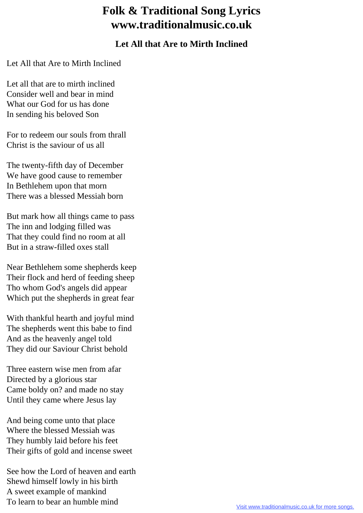## **Folk & Traditional Song Lyrics www.traditionalmusic.co.uk**

## **Let All that Are to Mirth Inclined**

Let All that Are to Mirth Inclined

Let all that are to mirth inclined Consider well and bear in mind What our God for us has done In sending his beloved Son

For to redeem our souls from thrall Christ is the saviour of us all

The twenty-fifth day of December We have good cause to remember In Bethlehem upon that morn There was a blessed Messiah born

But mark how all things came to pass The inn and lodging filled was That they could find no room at all But in a straw-filled oxes stall

Near Bethlehem some shepherds keep Their flock and herd of feeding sheep Tho whom God's angels did appear Which put the shepherds in great fear

With thankful hearth and joyful mind The shepherds went this babe to find And as the heavenly angel told They did our Saviour Christ behold

Three eastern wise men from afar Directed by a glorious star Came boldy on? and made no stay Until they came where Jesus lay

And being come unto that place Where the blessed Messiah was They humbly laid before his feet Their gifts of gold and incense sweet

See how the Lord of heaven and earth Shewd himself lowly in his birth A sweet example of mankind To learn to bear an humble mind